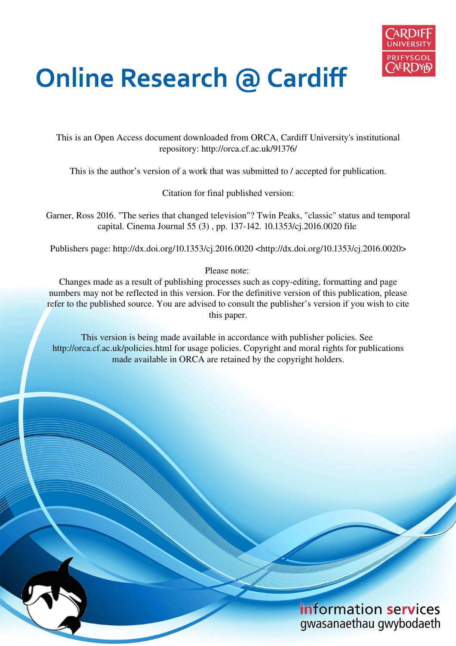

## **Online Research @ Cardiff**

This is an Open Access document downloaded from ORCA, Cardiff University's institutional repository: http://orca.cf.ac.uk/91376/

This is the author's version of a work that was submitted to / accepted for publication.

Citation for final published version:

Garner, Ross 2016. "The series that changed television"? Twin Peaks, "classic" status and temporal capital. Cinema Journal 55 (3) , pp. 137-142. 10.1353/cj.2016.0020 file

Publishers page: http://dx.doi.org/10.1353/cj.2016.0020 <http://dx.doi.org/10.1353/cj.2016.0020>

Please note:

Changes made as a result of publishing processes such as copy-editing, formatting and page numbers may not be reflected in this version. For the definitive version of this publication, please refer to the published source. You are advised to consult the publisher's version if you wish to cite this paper.

This version is being made available in accordance with publisher policies. See http://orca.cf.ac.uk/policies.html for usage policies. Copyright and moral rights for publications made available in ORCA are retained by the copyright holders.

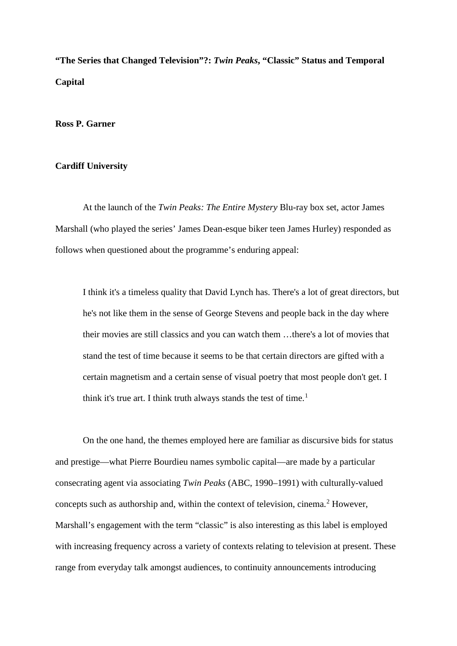**"The Series that Changed Television"?:** *Twin Peaks***, "Classic" Status and Temporal Capital** 

## **Ross P. Garner**

## **Cardiff University**

At the launch of the *Twin Peaks: The Entire Mystery* Blu-ray box set, actor James Marshall (who played the series' James Dean-esque biker teen James Hurley) responded as follows when questioned about the programme's enduring appeal:

I think it's a timeless quality that David Lynch has. There's a lot of great directors, but he's not like them in the sense of George Stevens and people back in the day where their movies are still classics and you can watch them …there's a lot of movies that stand the test of time because it seems to be that certain directors are gifted with a certain magnetism and a certain sense of visual poetry that most people don't get. I think it's true art. I think truth always stands the test of time.<sup>[1](#page-6-0)</sup>

On the one hand, the themes employed here are familiar as discursive bids for status and prestige—what Pierre Bourdieu names symbolic capital—are made by a particular consecrating agent via associating *Twin Peaks* (ABC, 1990–1991) with culturally-valued concepts such as authorship and, within the context of television, cinema.<sup>[2](#page-6-1)</sup> However, Marshall's engagement with the term "classic" is also interesting as this label is employed with increasing frequency across a variety of contexts relating to television at present. These range from everyday talk amongst audiences, to continuity announcements introducing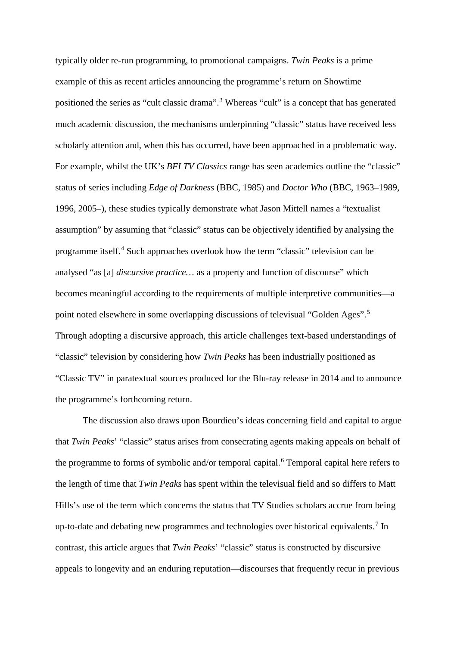typically older re-run programming, to promotional campaigns. *Twin Peaks* is a prime example of this as recent articles announcing the programme's return on Showtime positioned the series as "cult classic drama".[3](#page-6-2) Whereas "cult" is a concept that has generated much academic discussion, the mechanisms underpinning "classic" status have received less scholarly attention and, when this has occurred, have been approached in a problematic way. For example, whilst the UK's *BFI TV Classics* range has seen academics outline the "classic" status of series including *Edge of Darkness* (BBC, 1985) and *Doctor Who* (BBC, 1963–1989, 1996, 2005–), these studies typically demonstrate what Jason Mittell names a "textualist assumption" by assuming that "classic" status can be objectively identified by analysing the programme itself.<sup>[4](#page-6-3)</sup> Such approaches overlook how the term "classic" television can be analysed "as [a] *discursive practice…* as a property and function of discourse" which becomes meaningful according to the requirements of multiple interpretive communities—a point noted elsewhere in some overlapping discussions of televisual "Golden Ages".[5](#page-6-4) Through adopting a discursive approach, this article challenges text-based understandings of "classic" television by considering how *Twin Peaks* has been industrially positioned as "Classic TV" in paratextual sources produced for the Blu-ray release in 2014 and to announce the programme's forthcoming return.

The discussion also draws upon Bourdieu's ideas concerning field and capital to argue that *Twin Peaks*' "classic" status arises from consecrating agents making appeals on behalf of the programme to forms of symbolic and/or temporal capital.<sup>[6](#page-6-5)</sup> Temporal capital here refers to the length of time that *Twin Peaks* has spent within the televisual field and so differs to Matt Hills's use of the term which concerns the status that TV Studies scholars accrue from being up-to-date and debating new programmes and technologies over historical equivalents.<sup>[7](#page-6-6)</sup> In contrast, this article argues that *Twin Peaks*' "classic" status is constructed by discursive appeals to longevity and an enduring reputation—discourses that frequently recur in previous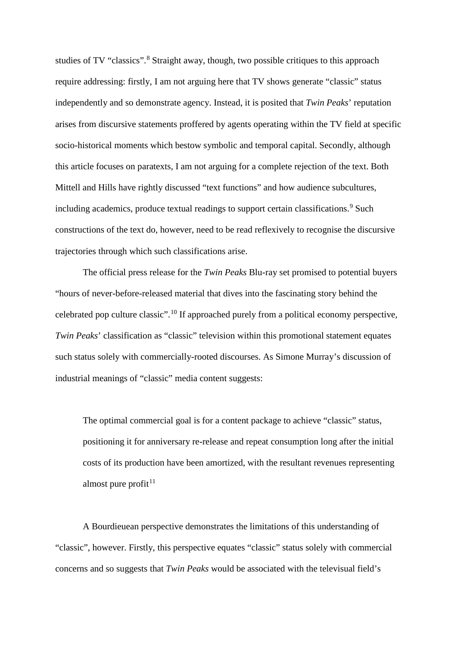studies of TV "classics".<sup>[8](#page-6-7)</sup> Straight away, though, two possible critiques to this approach require addressing: firstly, I am not arguing here that TV shows generate "classic" status independently and so demonstrate agency. Instead, it is posited that *Twin Peaks*' reputation arises from discursive statements proffered by agents operating within the TV field at specific socio-historical moments which bestow symbolic and temporal capital. Secondly, although this article focuses on paratexts, I am not arguing for a complete rejection of the text. Both Mittell and Hills have rightly discussed "text functions" and how audience subcultures, including academics, produce textual readings to support certain classifications.<sup>[9](#page-6-8)</sup> Such constructions of the text do, however, need to be read reflexively to recognise the discursive trajectories through which such classifications arise.

The official press release for the *Twin Peaks* Blu-ray set promised to potential buyers "hours of never-before-released material that dives into the fascinating story behind the celebrated pop culture classic".[10](#page-7-0) If approached purely from a political economy perspective, *Twin Peaks*' classification as "classic" television within this promotional statement equates such status solely with commercially-rooted discourses. As Simone Murray's discussion of industrial meanings of "classic" media content suggests:

The optimal commercial goal is for a content package to achieve "classic" status, positioning it for anniversary re-release and repeat consumption long after the initial costs of its production have been amortized, with the resultant revenues representing almost pure profit $11$ 

A Bourdieuean perspective demonstrates the limitations of this understanding of "classic", however. Firstly, this perspective equates "classic" status solely with commercial concerns and so suggests that *Twin Peaks* would be associated with the televisual field's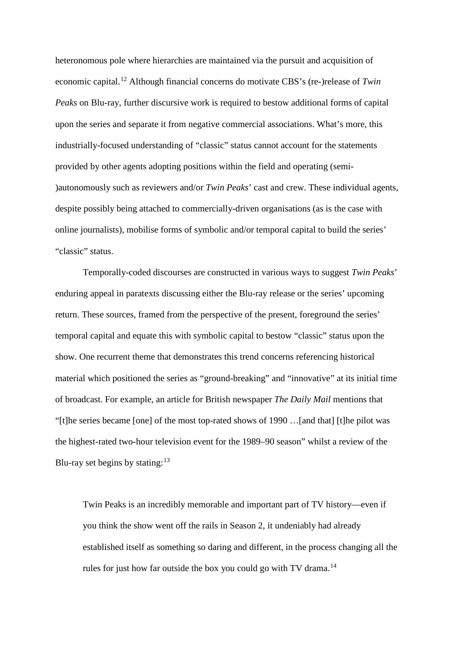heteronomous pole where hierarchies are maintained via the pursuit and acquisition of economic capital.[12](#page-7-2) Although financial concerns do motivate CBS's (re-)release of *Twin Peaks* on Blu-ray, further discursive work is required to bestow additional forms of capital upon the series and separate it from negative commercial associations. What's more, this industrially-focused understanding of "classic" status cannot account for the statements provided by other agents adopting positions within the field and operating (semi- )autonomously such as reviewers and/or *Twin Peaks*' cast and crew. These individual agents, despite possibly being attached to commercially-driven organisations (as is the case with online journalists), mobilise forms of symbolic and/or temporal capital to build the series' "classic" status.

Temporally-coded discourses are constructed in various ways to suggest *Twin Peaks*' enduring appeal in paratexts discussing either the Blu-ray release or the series' upcoming return. These sources, framed from the perspective of the present, foreground the series' temporal capital and equate this with symbolic capital to bestow "classic" status upon the show. One recurrent theme that demonstrates this trend concerns referencing historical material which positioned the series as "ground-breaking" and "innovative" at its initial time of broadcast. For example, an article for British newspaper *The Daily Mail* mentions that "[t]he series became [one] of the most top-rated shows of 1990 …[and that] [t]he pilot was the highest-rated two-hour television event for the 1989–90 season" whilst a review of the Blu-ray set begins by stating:  $13$ 

Twin Peaks is an incredibly memorable and important part of TV history—even if you think the show went off the rails in Season 2, it undeniably had already established itself as something so daring and different, in the process changing all the rules for just how far outside the box you could go with TV drama.<sup>[14](#page-7-4)</sup>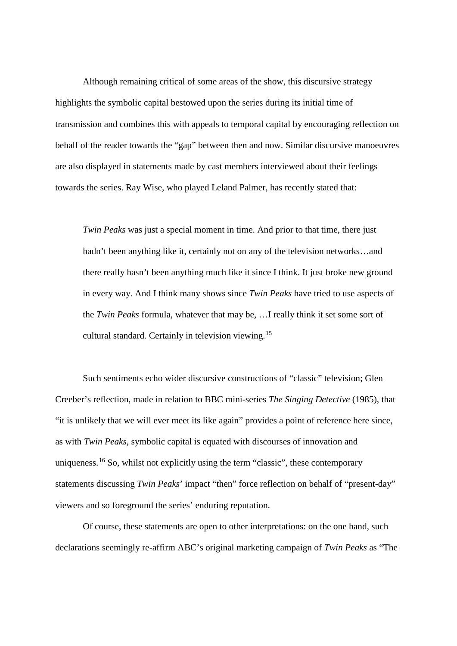Although remaining critical of some areas of the show, this discursive strategy highlights the symbolic capital bestowed upon the series during its initial time of transmission and combines this with appeals to temporal capital by encouraging reflection on behalf of the reader towards the "gap" between then and now. Similar discursive manoeuvres are also displayed in statements made by cast members interviewed about their feelings towards the series. Ray Wise, who played Leland Palmer, has recently stated that:

*Twin Peaks* was just a special moment in time. And prior to that time, there just hadn't been anything like it, certainly not on any of the television networks...and there really hasn't been anything much like it since I think. It just broke new ground in every way. And I think many shows since *Twin Peaks* have tried to use aspects of the *Twin Peaks* formula, whatever that may be, …I really think it set some sort of cultural standard. Certainly in television viewing.[15](#page-7-5)

Such sentiments echo wider discursive constructions of "classic" television; Glen Creeber's reflection, made in relation to BBC mini-series *The Singing Detective* (1985), that "it is unlikely that we will ever meet its like again" provides a point of reference here since, as with *Twin Peaks*, symbolic capital is equated with discourses of innovation and uniqueness.[16](#page-7-6) So, whilst not explicitly using the term "classic", these contemporary statements discussing *Twin Peaks*' impact "then" force reflection on behalf of "present-day" viewers and so foreground the series' enduring reputation.

Of course, these statements are open to other interpretations: on the one hand, such declarations seemingly re-affirm ABC's original marketing campaign of *Twin Peaks* as "The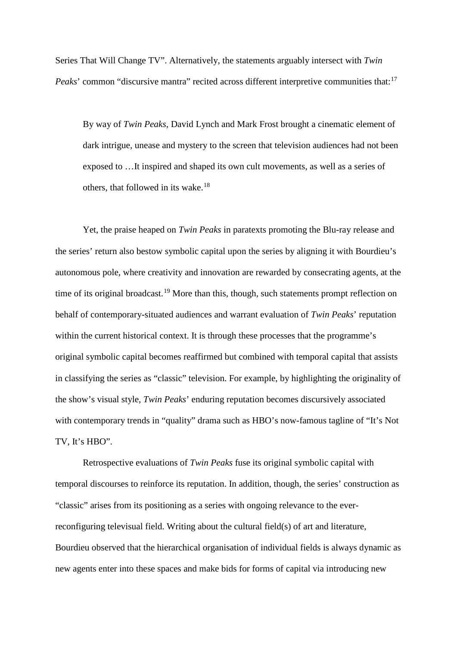Series That Will Change TV". Alternatively, the statements arguably intersect with *Twin Peaks*' common "discursive mantra" recited across different interpretive communities that:<sup>[17](#page-7-7)</sup>

<span id="page-6-0"></span>By way of *Twin Peaks*, David Lynch and Mark Frost brought a cinematic element of dark intrigue, unease and mystery to the screen that television audiences had not been exposed to …It inspired and shaped its own cult movements, as well as a series of others, that followed in its wake.<sup>[18](#page-7-8)</sup>

<span id="page-6-3"></span><span id="page-6-2"></span><span id="page-6-1"></span>Yet, the praise heaped on *Twin Peaks* in paratexts promoting the Blu-ray release and the series' return also bestow symbolic capital upon the series by aligning it with Bourdieu's autonomous pole, where creativity and innovation are rewarded by consecrating agents, at the time of its original broadcast.<sup>[19](#page-7-9)</sup> More than this, though, such statements prompt reflection on behalf of contemporary-situated audiences and warrant evaluation of *Twin Peaks*' reputation within the current historical context. It is through these processes that the programme's original symbolic capital becomes reaffirmed but combined with temporal capital that assists in classifying the series as "classic" television. For example, by highlighting the originality of the show's visual style, *Twin Peaks*' enduring reputation becomes discursively associated with contemporary trends in "quality" drama such as HBO's now-famous tagline of "It's Not TV, It's HBO".

<span id="page-6-8"></span><span id="page-6-7"></span><span id="page-6-6"></span><span id="page-6-5"></span><span id="page-6-4"></span>Retrospective evaluations of *Twin Peaks* fuse its original symbolic capital with temporal discourses to reinforce its reputation. In addition, though, the series' construction as "classic" arises from its positioning as a series with ongoing relevance to the everreconfiguring televisual field. Writing about the cultural field(s) of art and literature, Bourdieu observed that the hierarchical organisation of individual fields is always dynamic as new agents enter into these spaces and make bids for forms of capital via introducing new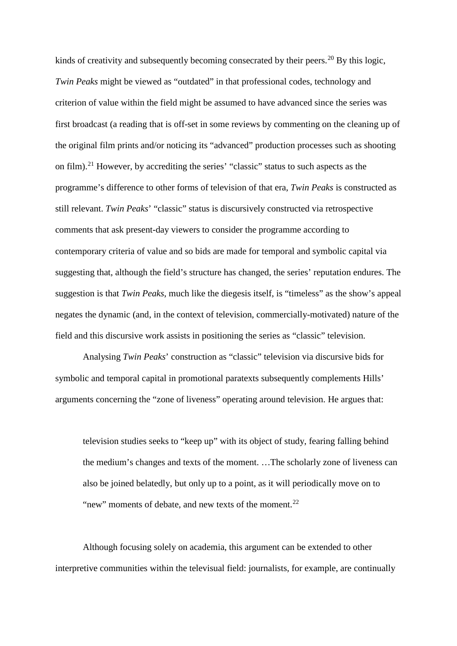<span id="page-7-3"></span><span id="page-7-2"></span><span id="page-7-1"></span><span id="page-7-0"></span>kinds of creativity and subsequently becoming consecrated by their peers.<sup>[20](#page-7-10)</sup> By this logic, *Twin Peaks* might be viewed as "outdated" in that professional codes, technology and criterion of value within the field might be assumed to have advanced since the series was first broadcast (a reading that is off-set in some reviews by commenting on the cleaning up of the original film prints and/or noticing its "advanced" production processes such as shooting on film).[21](#page-7-11) However, by accrediting the series' "classic" status to such aspects as the programme's difference to other forms of television of that era, *Twin Peaks* is constructed as still relevant. *Twin Peaks*' "classic" status is discursively constructed via retrospective comments that ask present-day viewers to consider the programme according to contemporary criteria of value and so bids are made for temporal and symbolic capital via suggesting that, although the field's structure has changed, the series' reputation endures. The suggestion is that *Twin Peaks*, much like the diegesis itself, is "timeless" as the show's appeal negates the dynamic (and, in the context of television, commercially-motivated) nature of the field and this discursive work assists in positioning the series as "classic" television.

<span id="page-7-7"></span><span id="page-7-6"></span><span id="page-7-5"></span><span id="page-7-4"></span>Analysing *Twin Peaks*' construction as "classic" television via discursive bids for symbolic and temporal capital in promotional paratexts subsequently complements Hills' arguments concerning the "zone of liveness" operating around television. He argues that:

<span id="page-7-9"></span><span id="page-7-8"></span>television studies seeks to "keep up" with its object of study, fearing falling behind the medium's changes and texts of the moment. …The scholarly zone of liveness can also be joined belatedly, but only up to a point, as it will periodically move on to "new" moments of debate, and new texts of the moment. $^{22}$  $^{22}$  $^{22}$ 

<span id="page-7-12"></span><span id="page-7-11"></span><span id="page-7-10"></span>Although focusing solely on academia, this argument can be extended to other interpretive communities within the televisual field: journalists, for example, are continually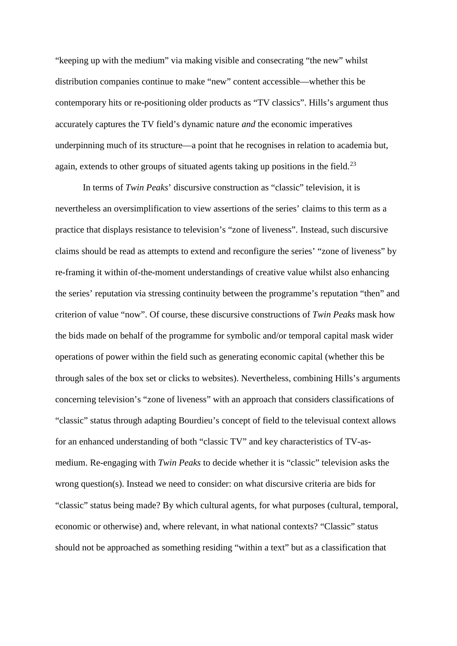<span id="page-8-0"></span>"keeping up with the medium" via making visible and consecrating "the new" whilst distribution companies continue to make "new" content accessible—whether this be contemporary hits or re-positioning older products as "TV classics". Hills's argument thus accurately captures the TV field's dynamic nature *and* the economic imperatives underpinning much of its structure—a point that he recognises in relation to academia but, again, extends to other groups of situated agents taking up positions in the field.<sup>[23](#page-8-0)</sup>

In terms of *Twin Peaks*' discursive construction as "classic" television, it is nevertheless an oversimplification to view assertions of the series' claims to this term as a practice that displays resistance to television's "zone of liveness". Instead, such discursive claims should be read as attempts to extend and reconfigure the series' "zone of liveness" by re-framing it within of-the-moment understandings of creative value whilst also enhancing the series' reputation via stressing continuity between the programme's reputation "then" and criterion of value "now". Of course, these discursive constructions of *Twin Peaks* mask how the bids made on behalf of the programme for symbolic and/or temporal capital mask wider operations of power within the field such as generating economic capital (whether this be through sales of the box set or clicks to websites). Nevertheless, combining Hills's arguments concerning television's "zone of liveness" with an approach that considers classifications of "classic" status through adapting Bourdieu's concept of field to the televisual context allows for an enhanced understanding of both "classic TV" and key characteristics of TV-asmedium. Re-engaging with *Twin Peaks* to decide whether it is "classic" television asks the wrong question(s). Instead we need to consider: on what discursive criteria are bids for "classic" status being made? By which cultural agents, for what purposes (cultural, temporal, economic or otherwise) and, where relevant, in what national contexts? "Classic" status should not be approached as something residing "within a text" but as a classification that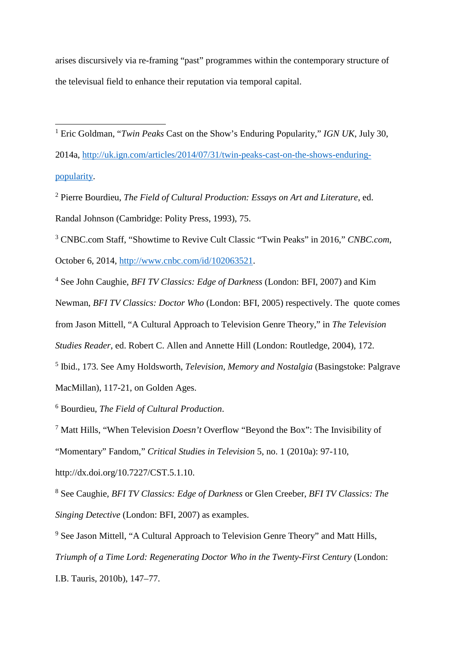arises discursively via re-framing "past" programmes within the contemporary structure of the televisual field to enhance their reputation via temporal capital.

<sup>1</sup> Eric Goldman, "*Twin Peaks* Cast on the Show's Enduring Popularity," IGN UK, July 30, 2014a, [http://uk.ign.com/articles/2014/07/31/twin-peaks-cast-on-the-shows-enduring](http://uk.ign.com/articles/2014/07/31/twin-peaks-cast-on-the-shows-enduring-popularity)[popularity.](http://uk.ign.com/articles/2014/07/31/twin-peaks-cast-on-the-shows-enduring-popularity)

2 Pierre Bourdieu, *The Field of Cultural Production: Essays on Art and Literature*, ed. Randal Johnson (Cambridge: Polity Press, 1993), 75.

3 CNBC.com Staff, "Showtime to Revive Cult Classic "Twin Peaks" in 2016," *CNBC.com*,

October 6, 2014, [http://www.cnbc.com/id/102063521.](http://www.cnbc.com/id/102063521)

4 See John Caughie, *BFI TV Classics: Edge of Darkness* (London: BFI, 2007) and Kim Newman, *BFI TV Classics: Doctor Who* (London: BFI, 2005) respectively. The quote comes from Jason Mittell, "A Cultural Approach to Television Genre Theory," in *The Television Studies Reader*, ed. Robert C. Allen and Annette Hill (London: Routledge, 2004), 172. 5 Ibid., 173. See Amy Holdsworth, *Television, Memory and Nostalgia* (Basingstoke: Palgrave

MacMillan), 117-21, on Golden Ages.

 $\overline{a}$ 

6 Bourdieu, *The Field of Cultural Production*.

<sup>7</sup> Matt Hills, "When Television *Doesn't* Overflow "Beyond the Box": The Invisibility of "Momentary" Fandom," *Critical Studies in Television* 5, no. 1 (2010a): 97-110,

[http://dx.doi.org/10.7227/CST.5.1.10.](http://dx.doi.org/10.7227/CST.5.1.10)

<sup>8</sup> See Caughie, *BFI TV Classics: Edge of Darkness* or Glen Creeber, *BFI TV Classics: The Singing Detective* (London: BFI, 2007) as examples.

<sup>9</sup> See Jason Mittell, "A Cultural Approach to Television Genre Theory" and Matt Hills, *Triumph of a Time Lord: Regenerating Doctor Who in the Twenty-First Century (London:* I.B. Tauris, 2010b), 147–77.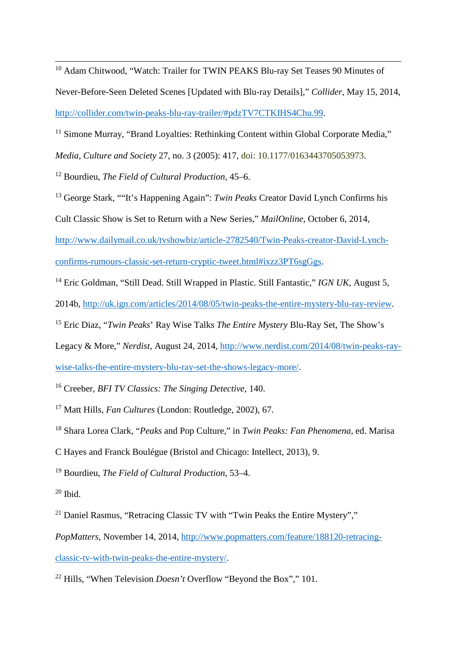<sup>10</sup> Adam Chitwood, "Watch: Trailer for TWIN PEAKS Blu-ray Set Teases 90 Minutes of Never-Before-Seen Deleted Scenes [Updated with Blu-ray Details]," *Collider*, May 15, 2014, [http://collider.com/twin-peaks-blu-ray-trailer/#pdzTV7CTKIHS4Chu.99.](http://collider.com/twin-peaks-blu-ray-trailer/#pdzTV7CTKIHS4Chu.99)

<sup>11</sup> Simone Murray, "Brand Loyalties: Rethinking Content within Global Corporate Media,"

*Media, Culture and Society* 27, no. 3 (2005): 417, doi: 10.1177/0163443705053973.

<sup>12</sup> Bourdieu, *The Field of Cultural Production*, 45–6.

<sup>13</sup> George Stark, ""It's Happening Again": *Twin Peaks* Creator David Lynch Confirms his

Cult Classic Show is Set to Return with a New Series," *MailOnline*, October 6, 2014,

[http://www.dailymail.co.uk/tvshowbiz/article-2782540/Twin-Peaks-creator-David-Lynch](http://www.dailymail.co.uk/tvshowbiz/article-2782540/Twin-Peaks-creator-David-Lynch-confirms-rumours-classic-set-return-cryptic-tweet.html#ixzz3PT6sgGgs)[confirms-rumours-classic-set-return-cryptic-tweet.html#ixzz3PT6sgGgs.](http://www.dailymail.co.uk/tvshowbiz/article-2782540/Twin-Peaks-creator-David-Lynch-confirms-rumours-classic-set-return-cryptic-tweet.html#ixzz3PT6sgGgs)

<sup>14</sup> Eric Goldman, "Still Dead. Still Wrapped in Plastic. Still Fantastic," *IGN UK*, August 5,

2014b, [http://uk.ign.com/articles/2014/08/05/twin-peaks-the-entire-mystery-blu-ray-review.](http://uk.ign.com/articles/2014/08/05/twin-peaks-the-entire-mystery-blu-ray-review)

<sup>15</sup> Eric Diaz, "*Twin Peaks*' Ray Wise Talks *The Entire Mystery* Blu-Ray Set, The Show's

Legacy & More," *Nerdist*, August 24, 2014, [http://www.nerdist.com/2014/08/twin-peaks-ray-](http://www.nerdist.com/2014/08/twin-peaks-ray-wise-talks-the-entire-mystery-blu-ray-set-the-shows-legacy-more/)

[wise-talks-the-entire-mystery-blu-ray-set-the-shows-legacy-more/.](http://www.nerdist.com/2014/08/twin-peaks-ray-wise-talks-the-entire-mystery-blu-ray-set-the-shows-legacy-more/)

<sup>16</sup> Creeber, *BFI TV Classics: The Singing Detective*, 140.

<sup>17</sup> Matt Hills, *Fan Cultures* (London: Routledge, 2002), 67.

<sup>18</sup> Shara Lorea Clark, "*Peaks* and Pop Culture," in *Twin Peaks: Fan Phenomena*, ed. Marisa

C Hayes and Franck Boulégue (Bristol and Chicago: Intellect, 2013), 9.

<sup>19</sup> Bourdieu, *The Field of Cultural Production*, 53–4.

 $20$  Ibid.

 $\overline{a}$ 

<sup>21</sup> Daniel Rasmus, "Retracing Classic TV with "Twin Peaks the Entire Mystery","

*PopMatters*, November 14, 2014, [http://www.popmatters.com/feature/188120-retracing](http://www.popmatters.com/feature/188120-retracing-classic-tv-with-twin-peaks-the-entire-mystery/)[classic-tv-with-twin-peaks-the-entire-mystery/.](http://www.popmatters.com/feature/188120-retracing-classic-tv-with-twin-peaks-the-entire-mystery/)

<sup>22</sup> Hills, "When Television *Doesn't* Overflow "Beyond the Box"," 101.